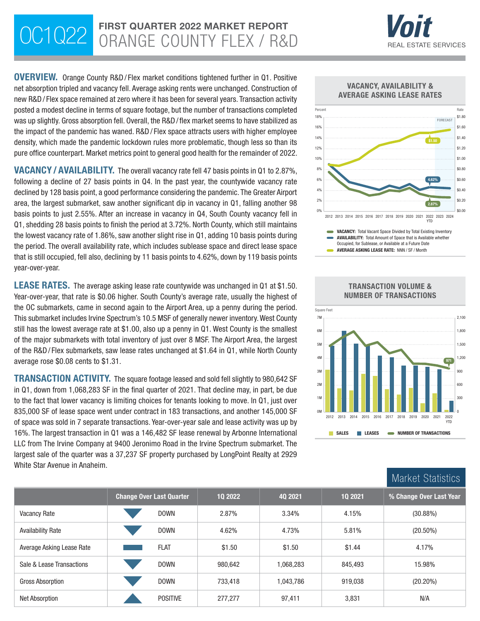# OC1Q22 FIRST QUARTER 2022 MARKET REPORT



\$0.00 \$0.20

YTD

2.87%

OVERVIEW. Orange County R&D / Flex market conditions tightened further in Q1. Positive net absorption tripled and vacancy fell. Average asking rents were unchanged. Construction of new R&D/ Flex space remained at zero where it has been for several years. Transaction activity posted a modest decline in terms of square footage, but the number of transactions completed was up slightly. Gross absorption fell. Overall, the R&D/ flex market seems to have stabilized as the impact of the pandemic has waned. R&D / Flex space attracts users with higher employee density, which made the pandemic lockdown rules more problematic, though less so than its pure office counterpart. Market metrics point to general good health for the remainder of 2022.

VACANCY / AVAILABILITY. The overall vacancy rate fell 47 basis points in Q1 to 2.87%, following a decline of 27 basis points in Q4. In the past year, the countywide vacancy rate declined by 128 basis point, a good performance considering the pandemic. The Greater Airport area, the largest submarket, saw another significant dip in vacancy in Q1, falling another 98 basis points to just 2.55%. After an increase in vacancy in Q4, South County vacancy fell in Q1, shedding 28 basis points to finish the period at 3.72%. North County, which still maintains the lowest vacancy rate of 1.86%, saw another slight rise in Q1, adding 10 basis points during the period. The overall availability rate, which includes sublease space and direct lease space that is still occupied, fell also, declining by 11 basis points to 4.62%, down by 119 basis points year-over-year.

**LEASE RATES.** The average asking lease rate countywide was unchanged in Q1 at \$1.50. Year-over-year, that rate is \$0.06 higher. South County's average rate, usually the highest of the OC submarkets, came in second again to the Airport Area, up a penny during the period. This submarket includes Irvine Spectrum's 10.5 MSF of generally newer inventory. West County still has the lowest average rate at \$1.00, also up a penny in Q1. West County is the smallest of the major submarkets with total inventory of just over 8 MSF. The Airport Area, the largest of the R&D / Flex submarkets, saw lease rates unchanged at \$1.64 in Q1, while North County average rose \$0.08 cents to \$1.31.

TRANSACTION ACTIVITY. The square footage leased and sold fell slightly to 980,642 SF in Q1, down from 1,068,283 SF in the final quarter of 2021. That decline may, in part, be due to the fact that lower vacancy is limiting choices for tenants looking to move. In Q1, just over 835,000 SF of lease space went under contract in 183 transactions, and another 145,000 SF of space was sold in 7 separate transactions. Year-over-year sale and lease activity was up by 16%. The largest transaction in Q1 was a 146,482 SF lease renewal by Arbonne International LLC from The Irvine Company at 9400 Jeronimo Road in the Irvine Spectrum submarket. The largest sale of the quarter was a 37,237 SF property purchased by LongPoint Realty at 2929 White Star Avenue in Anaheim.





VACANCY: Total Vacant Space Divided by Total Existing Inventory

2012 2013 2014 2015 2016 2017 2018 2019 2020 2021 2022 2023 2024

0% 2%



Market Statistics

|                           |                                 |         |           |         | THULLOC ORAHOLIOU       |  |
|---------------------------|---------------------------------|---------|-----------|---------|-------------------------|--|
|                           | <b>Change Over Last Quarter</b> | 10 2022 | 40 2021   | 10 2021 | % Change Over Last Year |  |
| Vacancy Rate              | <b>DOWN</b>                     | 2.87%   | 3.34%     | 4.15%   | (30.88%)                |  |
| <b>Availability Rate</b>  | <b>DOWN</b>                     | 4.62%   | 4.73%     | 5.81%   | $(20.50\%)$             |  |
| Average Asking Lease Rate | <b>FLAT</b>                     | \$1.50  | \$1.50    | \$1.44  | 4.17%                   |  |
| Sale & Lease Transactions | <b>DOWN</b>                     | 980,642 | 1,068,283 | 845,493 | 15.98%                  |  |
| Gross Absorption          | <b>DOWN</b>                     | 733,418 | 1.043.786 | 919,038 | $(20.20\%)$             |  |
| Net Absorption            | <b>POSITIVE</b>                 | 277.277 | 97,411    | 3,831   | N/A                     |  |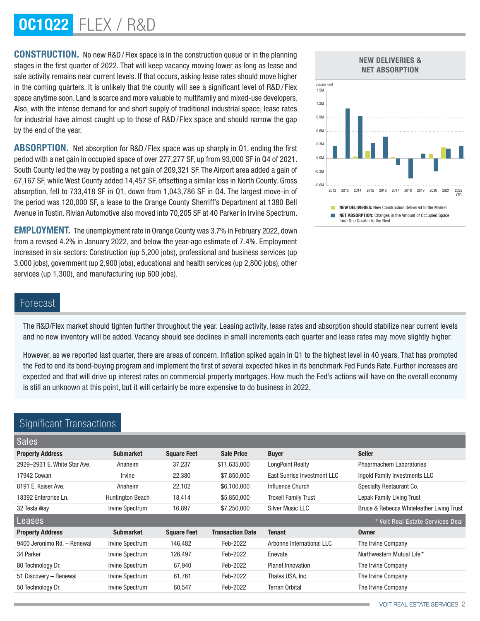# OC1Q22 Flex / R&D

CONSTRUCTION. No new R&D / Flex space is in the construction queue or in the planning stages in the first quarter of 2022. That will keep vacancy moving lower as long as lease and sale activity remains near current levels. If that occurs, asking lease rates should move higher in the coming quarters. It is unlikely that the county will see a significant level of R&D / Flex space anytime soon. Land is scarce and more valuable to multifamily and mixed-use developers. Also, with the intense demand for and short supply of traditional industrial space, lease rates for industrial have almost caught up to those of R&D / Flex space and should narrow the gap by the end of the year.

ABSORPTION. Net absorption for R&D/Flex space was up sharply in Q1, ending the first period with a net gain in occupied space of over 277,277 SF, up from 93,000 SF in Q4 of 2021. South County led the way by posting a net gain of 209,321 SF. The Airport area added a gain of 67,167 SF, while West County added 14,457 SF, offsetting a similar loss in North County. Gross absorption, fell to 733,418 SF in Q1, down from 1,043,786 SF in Q4. The largest move-in of the period was 120,000 SF, a lease to the Orange County Sherriff's Department at 1380 Bell Avenue in Tustin. Rivian Automotive also moved into 70,205 SF at 40 Parker in Irvine Spectrum.

EMPLOYMENT. The unemployment rate in Orange County was 3.7% in February 2022, down from a revised 4.2% in January 2022, and below the year-ago estimate of 7.4%. Employment increased in six sectors: Construction (up 5,200 jobs), professional and business services (up 3,000 jobs), government (up 2,900 jobs), educational and health services (up 2,800 jobs), other services (up 1,300), and manufacturing (up 600 jobs).



# Forecast

The R&D/Flex market should tighten further throughout the year. Leasing activity, lease rates and absorption should stabilize near current levels and no new inventory will be added. Vacancy should see declines in small increments each quarter and lease rates may move slightly higher.

However, as we reported last quarter, there are areas of concern. Inflation spiked again in Q1 to the highest level in 40 years. That has prompted the Fed to end its bond-buying program and implement the first of several expected hikes in its benchmark Fed Funds Rate. Further increases are expected and that will drive up interest rates on commercial property mortgages. How much the Fed's actions will have on the overall economy is still an unknown at this point, but it will certainly be more expensive to do business in 2022.

| Organicoante nanoaotiono     |                         |                    |                         |                             |                                           |
|------------------------------|-------------------------|--------------------|-------------------------|-----------------------------|-------------------------------------------|
| <b>Sales</b>                 |                         |                    |                         |                             |                                           |
| <b>Property Address</b>      | <b>Submarket</b>        | <b>Square Feet</b> | <b>Sale Price</b>       | <b>Buyer</b>                | <b>Seller</b>                             |
| 2929-2931 E. White Star Ave. | Anaheim                 | 37,237             | \$11,635,000            | <b>LongPoint Realty</b>     | <b>Phaarmachem Laboratories</b>           |
| 17942 Cowan                  | <i>Irvine</i>           | 22,380             | \$7,850,000             | East Sunrise Investment LLC | Ingold Family Investments LLC             |
| 8191 E. Kaiser Ave.          | Anaheim                 | 22,102             | \$6,100,000             | Influence Church            | Specialty Restaurant Co.                  |
| 18392 Enterprise Ln.         | <b>Huntington Beach</b> | 18,414             | \$5,850,000             | <b>Troxell Family Trust</b> | <b>Lepak Family Living Trust</b>          |
| 32 Tesla Way                 | Irvine Spectrum         | 16,897             | \$7,250,000             | <b>Silver Music LLC</b>     | Bruce & Rebecca Whiteleather Living Trust |
| Leases                       |                         |                    |                         |                             | * Voit Real Estate Services Deal          |
| <b>Property Address</b>      | <b>Submarket</b>        | <b>Square Feet</b> | <b>Transaction Date</b> | <b>Tenant</b>               | <b>Owner</b>                              |
| 9400 Jeronimo Rd. - Renewal  | Irvine Spectrum         | 146,482            | Feb-2022                | Arbonne International LLC   | The Irvine Company                        |
| 34 Parker                    | Irvine Spectrum         | 126,497            | Feb-2022                | Enevate                     | Northwestern Mutual Life*                 |
| 80 Technology Dr.            | Irvine Spectrum         | 67,940             | Feb-2022                | <b>Planet Innovation</b>    | The Irvine Company                        |
| 51 Discovery - Renewal       | Irvine Spectrum         | 61,761             | Feb-2022                | Thales USA, Inc.            | The Irvine Company                        |
| 50 Technology Dr.            | Irvine Spectrum         | 60,547             | Feb-2022                | Terran Orbital              | The Irvine Company                        |
|                              |                         |                    |                         |                             |                                           |

# Significant Transactions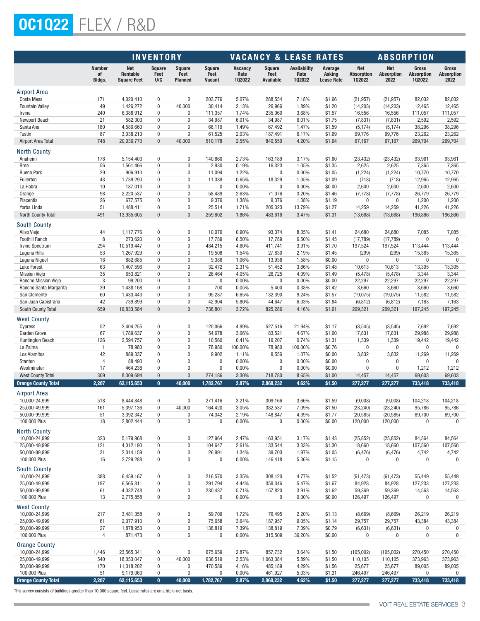# OC1Q22 Flex / R&D

|                                                |                                      | <b>INVENTORY</b>                             |                              |                                         |                                 | <b>VACANCY &amp; LEASE RATES</b> |                                    |                                | <b>ABSORPTION</b>                      |                                           |                                         |                                      |                                    |
|------------------------------------------------|--------------------------------------|----------------------------------------------|------------------------------|-----------------------------------------|---------------------------------|----------------------------------|------------------------------------|--------------------------------|----------------------------------------|-------------------------------------------|-----------------------------------------|--------------------------------------|------------------------------------|
|                                                | <b>Number</b><br>of<br><b>Bldgs.</b> | <b>Net</b><br>Rentable<br><b>Square Feet</b> | <b>Square</b><br>Feet<br>U/C | <b>Square</b><br>Feet<br><b>Planned</b> | <b>Square</b><br>Feet<br>Vacant | <b>Vacancy</b><br>Rate<br>102022 | <b>Square</b><br>Feet<br>Available | Availability<br>Rate<br>102022 | Average<br>Asking<br><b>Lease Rate</b> | <b>Net</b><br><b>Absorption</b><br>102022 | <b>Net</b><br><b>Absorption</b><br>2022 | Gross<br><b>Absorption</b><br>102022 | Gross<br><b>Absorption</b><br>2022 |
| Airport Area                                   |                                      |                                              |                              |                                         |                                 |                                  |                                    |                                |                                        |                                           |                                         |                                      |                                    |
| Costa Mesa                                     | 171                                  | 4,020,410                                    | 0                            | 0                                       | 203,776                         | 5.07%                            | 288,554                            | 7.18%                          | \$1.66                                 | (21, 957)                                 | (21, 957)                               | 82,032                               | 82,032                             |
| <b>Fountain Valley</b>                         | 49                                   | 1,426,272                                    | 0                            | 40,000                                  | 30,414                          | 2.13%                            | 26,966                             | 1.89%                          | \$1.20                                 | (14, 203)                                 | (14, 203)                               | 12,465                               | 12,465                             |
| Irvine                                         | 240                                  | 6,388,912                                    | 0                            | 0                                       | 111,357                         | 1.74%                            | 235,060                            | 3.68%                          | \$1.57                                 | 16,556                                    | 16,556                                  | 111,057                              | 111,057                            |
| Newport Beach<br>Santa Ana                     | 21<br>180                            | 582,303<br>4,580,660                         | 0<br>0                       | $\bf{0}$<br>$\mathbf{0}$                | 34,987<br>68,119                | 6.01%<br>1.49%                   | 34,987<br>67,492                   | 6.01%<br>1.47%                 | \$1.75<br>\$1.59                       | (7, 831)<br>(5, 174)                      | (7, 831)<br>(5, 174)                    | 2,592<br>38,296                      | 2,592<br>38,296                    |
| Tustin                                         | 87                                   | 3,038,213                                    | 0                            | $\bf{0}$                                | 61,525                          | 2.03%                            | 187,491                            | 6.17%                          | \$1.69                                 | 99,776                                    | 99,776                                  | 23,262                               | 23,262                             |
| <b>Airport Area Total</b>                      | 748                                  | 20,036,770                                   | $\pmb{0}$                    | 40,000                                  | 510,178                         | 2.55%                            | 840,550                            | 4.20%                          | \$1.64                                 | 67,167                                    | 67,167                                  | 269,704                              | 269,704                            |
| <b>North County</b><br>Anaheim                 | 178                                  | 5,154,403                                    | 0                            | $\pmb{0}$                               | 140,860                         | 2.73%                            | 163,189                            | 3.17%                          | \$1.60                                 | (23, 432)                                 | (23, 432)                               | 93,961                               | 93,961                             |
| <b>Brea</b>                                    | 56                                   | 1,561,466                                    | 0                            | $\bf{0}$                                | 2,930                           | 0.19%                            | 16,323                             | 1.05%                          | \$1.35                                 | 2,625                                     | 2,625                                   | 7,365                                | 7,365                              |
| <b>Buena Park</b>                              | 29                                   | 906,910                                      | 0                            | $\pmb{0}$                               | 11,094                          | 1.22%                            | 0                                  | 0.00%                          | \$1.05                                 | (1, 224)                                  | (1, 224)                                | 10,770                               | 10,770                             |
| Fullerton                                      | 43                                   | 1,739,290                                    | 0                            | 0                                       | 11,339                          | 0.65%                            | 18,329                             | 1.05%                          | \$1.09                                 | (718)                                     | (718)                                   | 12,965                               | 12,965                             |
| La Habra<br>Orange                             | 10<br>98                             | 187,013<br>2,220,537                         | 0<br>0                       | 0<br>0                                  | $\bf{0}$<br>58,489              | 0.00%<br>2.63%                   | 0<br>71,076                        | 0.00%<br>3.20%                 | \$0.00<br>\$1.46                       | 2,600<br>(7, 778)                         | 2,600<br>(7, 778)                       | 2,600<br>26,779                      | 2,600<br>26,779                    |
| Placentia                                      | 26                                   | 677,575                                      | 0                            | $\bf{0}$                                | 9,376                           | 1.38%                            | 9,376                              | 1.38%                          | \$1.19                                 | 0                                         | 0                                       | 1,200                                | 1,200                              |
| Yorba Linda                                    | 51                                   | 1,488,411                                    | 0                            | 0                                       | 25,514                          | 1.71%                            | 205,323                            | 13.79%                         | \$1.27                                 | 14,259                                    | 14,259                                  | 41,226                               | 41,226                             |
| North County Total                             | 491                                  | 13,935,605                                   | $\pmb{0}$                    | $\pmb{0}$                               | 259,602                         | 1.86%                            | 483,616                            | 3.47%                          | \$1.31                                 | (13,668)                                  | (13, 668)                               | 196,866                              | 196,866                            |
| <b>South County</b>                            |                                      |                                              | 0                            | 0                                       |                                 |                                  |                                    |                                |                                        |                                           |                                         |                                      |                                    |
| Aliso Viejo<br><b>Foothill Ranch</b>           | 44<br>8                              | 1,117,776<br>273,620                         | 0                            | $\pmb{0}$                               | 10,076<br>17,789                | 0.90%<br>6.50%                   | 93,374<br>17,789                   | 8.35%<br>6.50%                 | \$1.41<br>\$1.45                       | 24,680<br>(17, 789)                       | 24,680<br>(17, 789)                     | 7,085<br>$\mathbf{0}$                | 7,085<br>0                         |
| <b>Irvine Spectrum</b>                         | 294                                  | 10,519,447                                   | 0                            | $\bf{0}$                                | 484,215                         | 4.60%                            | 411,741                            | 3.91%                          | \$1.70                                 | 197,524                                   | 197,524                                 | 113,444                              | 113,444                            |
| Laguna Hills                                   | 53                                   | 1,267,929                                    | 0                            | $\bf{0}$                                | 19,508                          | 1.54%                            | 27,830                             | 2.19%                          | \$1.45                                 | (299)                                     | (299)                                   | 15,365                               | 15,365                             |
| Laguna Niguel                                  | 18                                   | 882,685                                      | 0                            | $\mathbf{0}$                            | 9,386                           | 1.06%                            | 13,938                             | 1.58%                          | \$0.00                                 | $\mathbf{0}$                              | 0                                       | $\mathbf{0}$                         | 0                                  |
| Lake Forest                                    | 63                                   | 1,407,596                                    | 0                            | $\bf{0}$                                | 32,472                          | 2.31%                            | 51,452                             | 3.66%                          | \$1.48                                 | 10,613                                    | 10,613                                  | 13,305                               | 13,305                             |
| <b>Mission Viejo</b>                           | 35<br>$\sqrt{3}$                     | 653,821<br>99,200                            | 0<br>0                       | $\mathbf{0}$<br>$\bf{0}$                | 26,464<br>$\pmb{0}$             | 4.05%<br>0.00%                   | 26,725<br>0                        | 4.09%<br>0.00%                 | \$1.49<br>\$0.00                       | (5, 478)<br>22,297                        | (5, 478)                                | 3,344<br>22,297                      | 3,344<br>22,297                    |
| Rancho Mission Viejo<br>Rancho Santa Margarita | 39                                   | 1,438,168                                    | 0                            | 0                                       | 700                             | 0.05%                            | 5,400                              | 0.38%                          | \$1.42                                 | 3,660                                     | 22,297<br>3,660                         | 3,660                                | 3,660                              |
| San Clemente                                   | 60                                   | 1,433,443                                    | 0                            | 0                                       | 95,287                          | 6.65%                            | 132,390                            | 9.24%                          | \$1.57                                 | (19, 075)                                 | (19, 075)                               | 11,582                               | 11,582                             |
| San Juan Capistrano                            | 42                                   | 739,899                                      | 0                            | 0                                       | 42,904                          | 5.80%                            | 44,647                             | 6.03%                          | \$1.84                                 | (6, 812)                                  | (6, 812)                                | 7,163                                | 7,163                              |
| South County Total                             | 659                                  | 19,833,584                                   | $\pmb{0}$                    | $\pmb{0}$                               | 738,801                         | 3.72%                            | 825,286                            | 4.16%                          | \$1.61                                 | 209,321                                   | 209,321                                 | 197,245                              | 197,245                            |
| <b>West County</b><br>Cypress                  | 52                                   | 2,404,255                                    | 0                            | 0                                       | 120,066                         | 4.99%                            | 527,516                            | 21.94%                         | \$1.17                                 | (8, 545)                                  | (8, 545)                                | 7,692                                | 7,692                              |
| Garden Grove                                   | 67                                   | 1,789,637                                    | 0                            | 0                                       | 54,678                          | 3.06%                            | 83,521                             | 4.67%                          | \$1.00                                 | 17,831                                    | 17,831                                  | 29,988                               | 29,988                             |
| <b>Huntington Beach</b>                        | 126                                  | 2,594,757                                    | 0                            | $\mathbf 0$                             | 10,560                          | 0.41%                            | 19,207                             | 0.74%                          | \$1.31                                 | 1,339                                     | 1,339                                   | 19,442                               | 19,442                             |
| La Palma                                       | $\overline{1}$                       | 78,980                                       | 0                            | 0                                       | 78,980                          | 100.00%                          | 78,980                             | 100.00%                        | \$0.76                                 | $\pmb{0}$                                 | 0                                       | 0                                    | $\bf{0}$                           |
| Los Alamitos                                   | 42                                   | 889,337                                      | 0                            | $\mathbf{0}$                            | 9,902                           | 1.11%                            | 9,556                              | 1.07%                          | \$0.00                                 | 3,832                                     | 3,832                                   | 11,269                               | 11,269                             |
| Stanton                                        | $\overline{4}$                       | 88,490                                       | 0                            | $\bf{0}$                                | $\mathbf 0$                     | 0.00%                            | 0                                  | 0.00%                          | \$0.00                                 | $\bf{0}$                                  | 0                                       | 0                                    | 0                                  |
| Westminster<br><b>West County Total</b>        | 17<br>309                            | 464,238                                      | 0<br>$\pmb{0}$               | $\mathbf{0}$<br>$\pmb{0}$               | $\pmb{0}$                       | 0.00%<br>3.30%                   | $\pmb{0}$<br>718,780               | 0.00%<br>8.65%                 | \$0.00<br>\$1.00                       | $\mathbf{0}$                              | $\mathbf 0$                             | 1,212                                | 1,212<br>69,603                    |
| <b>Orange County Total</b>                     | 2,207                                | 8,309,694<br>62,115,653                      | $\mathbf{0}$                 | 40,000                                  | 274,186<br>1,782,767            | 2.87%                            | 2.868.232                          | 4.62%                          | \$1.50                                 | 14,457<br>277,277                         | 14,457<br>277,277                       | 69,603<br>733.418                    | 733,418                            |
| Airport Area                                   |                                      |                                              |                              |                                         |                                 |                                  |                                    |                                |                                        |                                           |                                         |                                      |                                    |
| 10,000-24,999                                  | 518                                  | 8,444,848                                    | 0                            | 0                                       | 271,416                         | 3.21%                            | 309,166                            | 3.66%                          | \$1.59                                 | (9,008)                                   | (9,008)                                 | 104,218                              | 104,218                            |
| 25,000-49,999                                  | 161                                  | 5,397,136                                    | 0                            | 40,000                                  | 164,420                         | 3.05%                            | 382,537                            | 7.09%                          | \$1.50                                 | (23, 240)                                 | (23, 240)                               | 95,786                               | 95,786                             |
| 50,000-99,999                                  | 51                                   | 3,392,342                                    | 0                            | 0                                       | 74,342                          | 2.19%                            | 148,847                            | 4.39%                          | \$1.77                                 | (20, 585)                                 | (20, 585)                               | 69,700                               | 69,700                             |
| 100,000 Plus                                   | 18                                   | 2,802,444                                    | 0                            | 0                                       | $\pmb{0}$                       | 0.00%                            | 0                                  | 0.00%                          | \$0.00                                 | 120,000                                   | 120,000                                 | 0                                    | $\bf{0}$                           |
| <b>North County</b>                            |                                      |                                              |                              |                                         |                                 |                                  |                                    |                                |                                        |                                           |                                         |                                      |                                    |
| 10,000-24,999                                  | 323                                  | 5,179,968                                    | 0                            | 0                                       | 127,964                         | 2.47%                            | 163,951                            | 3.17%                          | \$1.43                                 | (25, 852)                                 | (25, 852)                               | 84,564                               | 84,564                             |
| 25,000-49,999<br>50,000-99,999                 | 121<br>31                            | 4,012,190<br>2,014,159                       | 0<br>0                       | $\pmb{0}$<br>0                          | 104,647<br>26,991               | 2.61%<br>1.34%                   | 133,544<br>39,703                  | 3.33%<br>1.97%                 | \$1.30<br>\$1.05                       | 18,660<br>(6, 476)                        | 18,660<br>(6, 476)                      | 107,560<br>4,742                     | 107,560<br>4,742                   |
| 100,000 Plus                                   | 16                                   | 2,729,288                                    | 0                            | 0                                       | $\pmb{0}$                       | 0.00%                            | 146,418                            | 5.36%                          | \$1.15                                 | 0                                         | $\bf{0}$                                | $\pmb{0}$                            | $\pmb{0}$                          |
| <b>South County</b>                            |                                      |                                              |                              |                                         |                                 |                                  |                                    |                                |                                        |                                           |                                         |                                      |                                    |
| 10,000-24,999                                  | 388                                  | 6,459,167                                    | 0                            | 0                                       | 216,570                         | 3.35%                            | 308,120                            | 4.77%                          | \$1.52                                 | (61, 473)                                 | (61, 473)                               | 55,449                               | 55,449                             |
| 25,000-49,999                                  | 197                                  | 6,565,811                                    | $\boldsymbol{0}$             | $\boldsymbol{0}$                        | 291,794                         | 4.44%                            | 359,346                            | 5.47%                          | \$1.67                                 | 84,928                                    | 84,928                                  | 127,233                              | 127,233                            |
| 50,000-99,999                                  | 61                                   | 4,032,748                                    | 0                            | $\pmb{0}$                               | 230,437                         | 5.71%                            | 157,820                            | 3.91%                          | \$1.62                                 | 59,369                                    | 59,369                                  | 14,563                               | 14,563                             |
| 100,000 Plus                                   | 13                                   | 2,775,858                                    | 0                            | $\pmb{0}$                               | $\pmb{0}$                       | 0.00%                            | $\pmb{0}$                          | 0.00%                          | \$0.00                                 | 126,497                                   | 126,497                                 | $\pmb{0}$                            | $\pmb{0}$                          |
| <b>West County</b>                             |                                      |                                              |                              |                                         |                                 |                                  |                                    |                                |                                        |                                           |                                         |                                      |                                    |
| 10,000-24,999                                  | 217                                  | 3,481,358                                    | 0                            | 0                                       | 59,709                          | 1.72%                            | 76,495                             | 2.20%                          | \$1.13                                 | (8,669)                                   | (8,669)                                 | 26,219                               | 26,219                             |
| 25,000-49,999<br>50,000-99,999                 | 61<br>27                             | 2,077,910<br>1,878,953                       | 0<br>0                       | $\pmb{0}$<br>$\bf{0}$                   | 75,658<br>138,819               | 3.64%<br>7.39%                   | 187,957<br>138,819                 | 9.05%<br>7.39%                 | \$1.14<br>\$0.79                       | 29,757<br>(6,631)                         | 29,757<br>(6,631)                       | 43,384<br>$\pmb{0}$                  | 43,384<br>0                        |
| 100,000 Plus                                   | $\overline{4}$                       | 871,473                                      | 0                            | $\bf{0}$                                | $\pmb{0}$                       | 0.00%                            | 315,509                            | 36.20%                         | \$0.00                                 | $\pmb{0}$                                 | 0                                       | $\pmb{0}$                            | $\pmb{0}$                          |
| <b>Orange County</b>                           |                                      |                                              |                              |                                         |                                 |                                  |                                    |                                |                                        |                                           |                                         |                                      |                                    |
| 10,000-24,999                                  | 1,446                                | 23,565,341                                   | 0                            | 0                                       | 675,659                         | 2.87%                            | 857,732                            | 3.64%                          | \$1.50                                 | (105,002)                                 | (105,002)                               | 270,450                              | 270,450                            |
| 25,000-49,999                                  | 540                                  | 18,053,047                                   | 0                            | 40,000                                  | 636,519                         | 3.53%                            | 1,063,384                          | 5.89%                          | \$1.50                                 | 110,105                                   | 110,105                                 | 373,963                              | 373,963                            |
| 50,000-99,999<br>100,000 Plus                  | 170<br>51                            | 11,318,202<br>9,179,063                      | 0<br>$\bf{0}$                | 0<br>$\pmb{0}$                          | 470,589<br>$\bf{0}$             | 4.16%<br>0.00%                   | 485,189<br>461,927                 | 4.29%<br>5.03%                 | \$1.56<br>\$1.31                       | 25,677<br>246,497                         | 25,677<br>246,497                       | 89,005<br>$\bf{0}$                   | 89,005<br>0                        |
| <b>Orange County Total</b>                     | 2,207                                | 62,115,653                                   | $\mathbf{0}$                 | 40,000                                  | 1,782,767                       | 2.87%                            | 2,868,232                          | 4.62%                          | \$1.50                                 | 277,277                                   | 277,277                                 | 733,418                              | 733,418                            |
|                                                |                                      |                                              |                              |                                         |                                 |                                  |                                    |                                |                                        |                                           |                                         |                                      |                                    |

This survey consists of buildings greater than 10,000 square feet. Lease rates are on a triple-net basis.

E